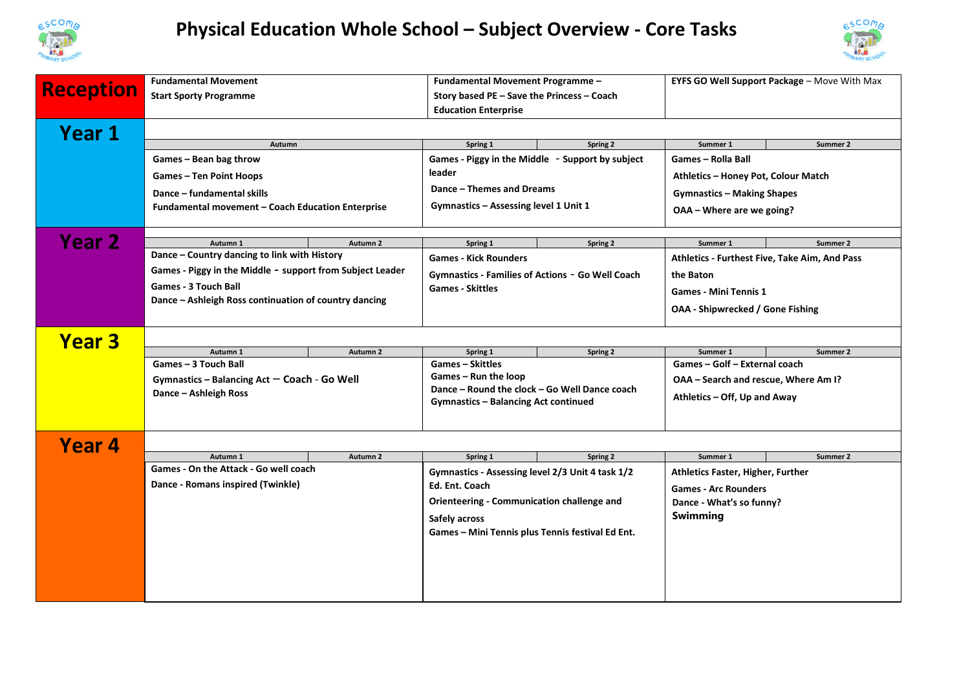

## **Physical Education Whole School – Subject Overview - Core Tasks**



| <b>Reception</b> | <b>Fundamental Movement</b><br><b>Start Sporty Programme</b>                                  |                     | Fundamental Movement Programme -<br>Story based PE - Save the Princess - Coach<br><b>Education Enterprise</b>                                   |          | EYFS GO Well Support Package - Move With Max  |          |  |  |
|------------------|-----------------------------------------------------------------------------------------------|---------------------|-------------------------------------------------------------------------------------------------------------------------------------------------|----------|-----------------------------------------------|----------|--|--|
| Year 1           |                                                                                               |                     |                                                                                                                                                 |          |                                               |          |  |  |
|                  | Autumn                                                                                        |                     | Spring 1                                                                                                                                        | Spring 2 | Summer 1                                      | Summer 2 |  |  |
|                  | Games - Bean bag throw                                                                        |                     | Games - Piggy in the Middle - Support by subject                                                                                                |          | <b>Games - Rolla Ball</b>                     |          |  |  |
|                  | <b>Games – Ten Point Hoops</b>                                                                |                     | leader                                                                                                                                          |          | Athletics - Honey Pot, Colour Match           |          |  |  |
|                  | Dance - fundamental skills                                                                    |                     | Dance - Themes and Dreams                                                                                                                       |          | <b>Gymnastics - Making Shapes</b>             |          |  |  |
|                  | Fundamental movement - Coach Education Enterprise                                             |                     | Gymnastics – Assessing level 1 Unit 1                                                                                                           |          | OAA - Where are we going?                     |          |  |  |
|                  |                                                                                               |                     |                                                                                                                                                 |          |                                               |          |  |  |
| <b>Year 2</b>    | Autumn 1                                                                                      | Autumn 2            | Spring 1                                                                                                                                        | Spring 2 | Summer 1                                      | Summer 2 |  |  |
|                  | Dance - Country dancing to link with History                                                  |                     | <b>Games - Kick Rounders</b>                                                                                                                    |          | Athletics - Furthest Five, Take Aim, And Pass |          |  |  |
|                  | Games - Piggy in the Middle - support from Subject Leader                                     |                     | Gymnastics - Families of Actions - Go Well Coach                                                                                                |          | the Baton                                     |          |  |  |
|                  | <b>Games - 3 Touch Ball</b><br>Dance - Ashleigh Ross continuation of country dancing          |                     | <b>Games - Skittles</b>                                                                                                                         |          | <b>Games - Mini Tennis 1</b>                  |          |  |  |
|                  |                                                                                               |                     |                                                                                                                                                 |          | <b>OAA - Shipwrecked / Gone Fishing</b>       |          |  |  |
|                  |                                                                                               |                     |                                                                                                                                                 |          |                                               |          |  |  |
| <b>Year 3</b>    |                                                                                               |                     |                                                                                                                                                 |          |                                               |          |  |  |
|                  | Autumn 1                                                                                      | Autumn <sub>2</sub> | Spring 1                                                                                                                                        | Spring 2 | Summer 1                                      | Summer 2 |  |  |
|                  | Games - 3 Touch Ball<br>Gymnastics - Balancing Act - Coach - Go Well<br>Dance - Ashleigh Ross |                     | <b>Games - Skittles</b><br>Games – Run the loop<br>Dance - Round the clock - Go Well Dance coach<br><b>Gymnastics - Balancing Act continued</b> |          | Games - Golf - External coach                 |          |  |  |
|                  |                                                                                               |                     |                                                                                                                                                 |          | OAA - Search and rescue, Where Am I?          |          |  |  |
|                  |                                                                                               |                     |                                                                                                                                                 |          | Athletics - Off, Up and Away                  |          |  |  |
|                  |                                                                                               |                     |                                                                                                                                                 |          |                                               |          |  |  |
|                  |                                                                                               |                     |                                                                                                                                                 |          |                                               |          |  |  |
| Year 4           |                                                                                               |                     |                                                                                                                                                 |          |                                               |          |  |  |
|                  | Autumn 1                                                                                      | Autumn 2            | Spring 1                                                                                                                                        | Spring 2 | Summer 1                                      | Summer 2 |  |  |
|                  | Games - On the Attack - Go well coach                                                         |                     | Gymnastics - Assessing level 2/3 Unit 4 task 1/2                                                                                                |          | <b>Athletics Faster, Higher, Further</b>      |          |  |  |
|                  | Dance - Romans inspired (Twinkle)                                                             |                     | Ed. Ent. Coach                                                                                                                                  |          | <b>Games - Arc Rounders</b>                   |          |  |  |
|                  |                                                                                               |                     | Orienteering - Communication challenge and                                                                                                      |          | Dance - What's so funny?                      |          |  |  |
|                  |                                                                                               |                     | Safely across                                                                                                                                   |          | Swimming                                      |          |  |  |
|                  |                                                                                               |                     | Games - Mini Tennis plus Tennis festival Ed Ent.                                                                                                |          |                                               |          |  |  |
|                  |                                                                                               |                     |                                                                                                                                                 |          |                                               |          |  |  |
|                  |                                                                                               |                     |                                                                                                                                                 |          |                                               |          |  |  |
|                  |                                                                                               |                     |                                                                                                                                                 |          |                                               |          |  |  |
|                  |                                                                                               |                     |                                                                                                                                                 |          |                                               |          |  |  |